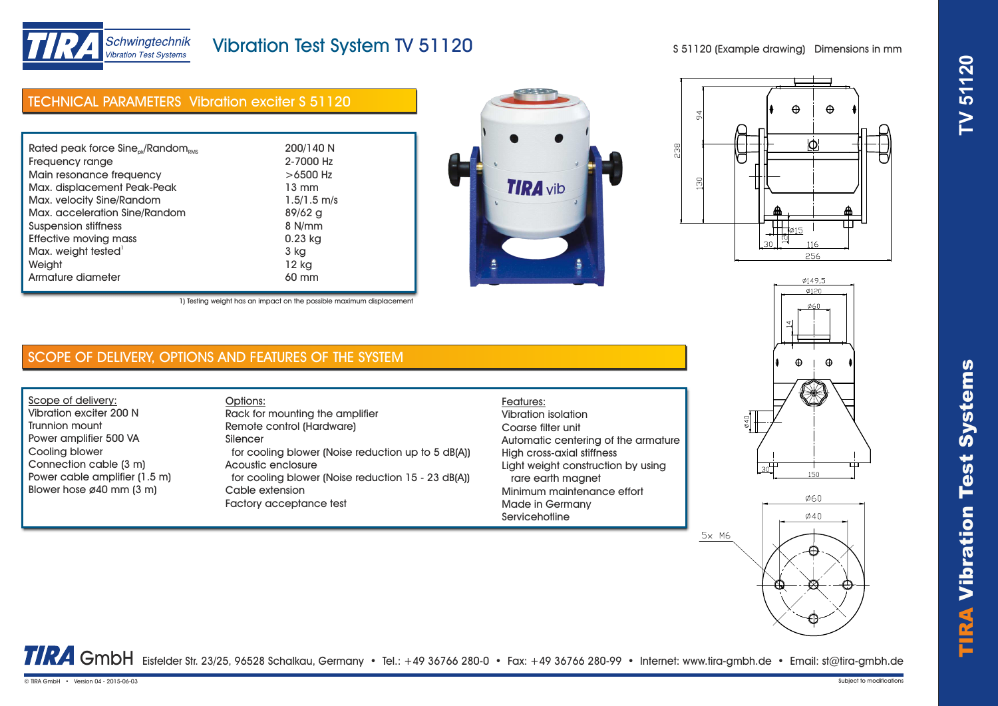

# TIRA Vibr ation Test Systems **TV 51120**

Schwingtechnik Vibration Test Systems

# Vibration Test System TV 51120

S 51120 (Example drawing) Dimensions in mm

| <b>TECHNICAL PARAMETERS Vibration exciter S 51120</b>      |                 |  |
|------------------------------------------------------------|-----------------|--|
|                                                            |                 |  |
| Rated peak force Sine <sub>nk</sub> /Random <sub>RMS</sub> | 200/140 N       |  |
| Frequency range                                            | 2-7000 Hz       |  |
| Main resonance frequency                                   | $>6500$ Hz      |  |
| Max. displacement Peak-Peak                                | $13 \text{ mm}$ |  |
| Max. velocity Sine/Random                                  | $1.5/1.5$ m/s   |  |
| Max. acceleration Sine/Random                              | $89/62$ a       |  |
| Suspension stiffness                                       | 8 N/mm          |  |
| Effective moving mass                                      | 0.23 kg         |  |
| Max. weight tested <sup>1</sup>                            | 3 kg            |  |
| Weight                                                     | 12 kg           |  |
| Armature diameter                                          | 60 mm           |  |





1) Testing weight has an impact on the possible maximum displacement

## SCOPE OF DELIVERY, OPTIONS AND FEATURES OF THE SYSTEM

Scope of delivery: Vibration exciter 200 N Trunnion mount Power amplifier 500 VA Cooling blower Connection cable (3 m) Power cable amplifier (1.5 m) Blower hose ø40 mm (3 m)

Options: Rack for mounting the amplifier Remote control (Hardware) Silencer for cooling blower (Noise reduction up to 5 dB(A)) Acoustic enclosure for cooling blower (Noise reduction 15 - 23 dB(A)) Cable extension Factory acceptance test

### Features: Vibration isolation Coarse filter unit Automatic centering of the armature High cross-axial stiffness Light weight construction by using rare earth magnet Minimum maintenance effort Made in Germany **Servicehotline**

 $5x$  M6



0149.5

TRA GmbH Eisfelder Str. 23/25, 96528 Schalkau, Germany • Tel.: +49 36766 280-0 • Fax: +49 36766 280-99 • Internet: www.tira-gmbh.de • Email: st@tira-gmbh.de

© TIRA GmbH • Version 04 - 2015-06-03 Subject to modifications